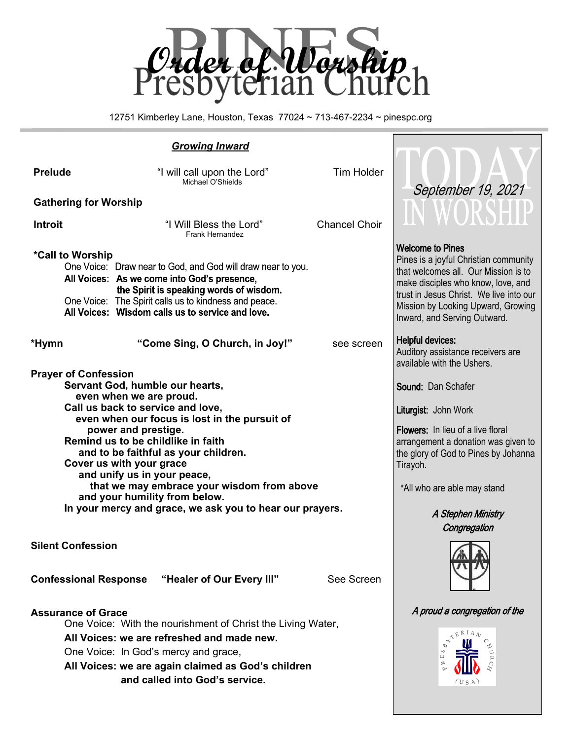

12751 Kimberley Lane, Houston, Texas 77024 ~ 713-467-2234 ~ pinespc.org

|                                                                                                                                                                                                                                                                        | <b>Growing Inward</b>                                                                                                                                                                                                                                                                                                                                                                                                                                       |                                                                                                                                                                                                                                                        |                                                                                                                                                                                                                                                                 |
|------------------------------------------------------------------------------------------------------------------------------------------------------------------------------------------------------------------------------------------------------------------------|-------------------------------------------------------------------------------------------------------------------------------------------------------------------------------------------------------------------------------------------------------------------------------------------------------------------------------------------------------------------------------------------------------------------------------------------------------------|--------------------------------------------------------------------------------------------------------------------------------------------------------------------------------------------------------------------------------------------------------|-----------------------------------------------------------------------------------------------------------------------------------------------------------------------------------------------------------------------------------------------------------------|
| <b>Prelude</b>                                                                                                                                                                                                                                                         | "I will call upon the Lord"<br>Michael O'Shields                                                                                                                                                                                                                                                                                                                                                                                                            | <b>Tim Holder</b>                                                                                                                                                                                                                                      |                                                                                                                                                                                                                                                                 |
| <b>Gathering for Worship</b>                                                                                                                                                                                                                                           |                                                                                                                                                                                                                                                                                                                                                                                                                                                             | September 19, 2021                                                                                                                                                                                                                                     |                                                                                                                                                                                                                                                                 |
| "I Will Bless the Lord"<br><b>Introit</b><br><b>Frank Hernandez</b>                                                                                                                                                                                                    |                                                                                                                                                                                                                                                                                                                                                                                                                                                             | <b>Chancel Choir</b>                                                                                                                                                                                                                                   | IN WORSHU                                                                                                                                                                                                                                                       |
| *Call to Worship                                                                                                                                                                                                                                                       | One Voice: Draw near to God, and God will draw near to you.<br>All Voices: As we come into God's presence,<br>the Spirit is speaking words of wisdom.<br>One Voice: The Spirit calls us to kindness and peace.<br>All Voices: Wisdom calls us to service and love.                                                                                                                                                                                          |                                                                                                                                                                                                                                                        | <b>Welcome to Pines</b><br>Pines is a joyful Christian community<br>that welcomes all. Our Mission is to<br>make disciples who know, love, and<br>trust in Jesus Christ. We live into our<br>Mission by Looking Upward, Growing<br>Inward, and Serving Outward. |
| *Hymn                                                                                                                                                                                                                                                                  | "Come Sing, O Church, in Joy!"                                                                                                                                                                                                                                                                                                                                                                                                                              | see screen                                                                                                                                                                                                                                             | <b>Helpful devices:</b><br>Auditory assistance receivers are<br>available with the Ushers.                                                                                                                                                                      |
| <b>Prayer of Confession</b>                                                                                                                                                                                                                                            | Servant God, humble our hearts,<br>even when we are proud.<br>Call us back to service and love,<br>even when our focus is lost in the pursuit of<br>power and prestige.<br>Remind us to be childlike in faith<br>and to be faithful as your children.<br>Cover us with your grace<br>and unify us in your peace,<br>that we may embrace your wisdom from above<br>and your humility from below.<br>In your mercy and grace, we ask you to hear our prayers. | Sound: Dan Schafer<br>Liturgist: John Work<br><b>Flowers:</b> In lieu of a live floral<br>arrangement a donation was given to<br>the glory of God to Pines by Johanna<br>Tirayoh.<br>*All who are able may stand<br>A Stephen Ministry<br>Congregation |                                                                                                                                                                                                                                                                 |
| <b>Silent Confession</b>                                                                                                                                                                                                                                               |                                                                                                                                                                                                                                                                                                                                                                                                                                                             |                                                                                                                                                                                                                                                        |                                                                                                                                                                                                                                                                 |
|                                                                                                                                                                                                                                                                        | <b>Confessional Response "Healer of Our Every III"</b>                                                                                                                                                                                                                                                                                                                                                                                                      | See Screen                                                                                                                                                                                                                                             |                                                                                                                                                                                                                                                                 |
| <b>Assurance of Grace</b><br>One Voice: With the nourishment of Christ the Living Water,<br>All Voices: we are refreshed and made new.<br>One Voice: In God's mercy and grace,<br>All Voices: we are again claimed as God's children<br>and called into God's service. |                                                                                                                                                                                                                                                                                                                                                                                                                                                             |                                                                                                                                                                                                                                                        | A proud a congregation of the<br>(USA)                                                                                                                                                                                                                          |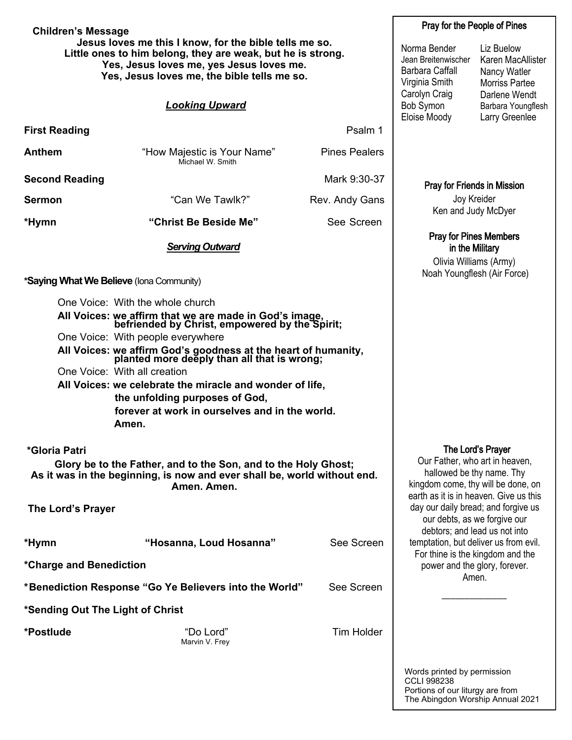| <b>Children's Message</b>                                                                                                                                                                                        |                                                                                                                                                           | Pray for the People of Pines                                                                                                                                     |                                                                                                           |                                                                            |  |
|------------------------------------------------------------------------------------------------------------------------------------------------------------------------------------------------------------------|-----------------------------------------------------------------------------------------------------------------------------------------------------------|------------------------------------------------------------------------------------------------------------------------------------------------------------------|-----------------------------------------------------------------------------------------------------------|----------------------------------------------------------------------------|--|
| Jesus loves me this I know, for the bible tells me so.<br>Little ones to him belong, they are weak, but he is strong.<br>Yes, Jesus loves me, yes Jesus loves me.<br>Yes, Jesus loves me, the bible tells me so. |                                                                                                                                                           | Norma Bender<br>Jean Breitenwischer<br><b>Barbara Caffall</b><br>Virginia Smith<br>Carolyn Craig                                                                 | Liz Buelow<br>Karen MacAllister<br>Nancy Watler<br><b>Morriss Partee</b><br>Darlene Wendt                 |                                                                            |  |
|                                                                                                                                                                                                                  | <b>Looking Upward</b>                                                                                                                                     |                                                                                                                                                                  | Bob Symon<br>Eloise Moody                                                                                 | Barbara Youngflesh<br>Larry Greenlee                                       |  |
| <b>First Reading</b>                                                                                                                                                                                             |                                                                                                                                                           | Psalm 1                                                                                                                                                          |                                                                                                           |                                                                            |  |
| Anthem                                                                                                                                                                                                           | "How Majestic is Your Name"<br>Michael W. Smith                                                                                                           | <b>Pines Pealers</b>                                                                                                                                             |                                                                                                           |                                                                            |  |
| <b>Second Reading</b>                                                                                                                                                                                            |                                                                                                                                                           | Mark 9:30-37                                                                                                                                                     | <b>Pray for Friends in Mission</b>                                                                        |                                                                            |  |
| Sermon                                                                                                                                                                                                           | "Can We Tawlk?"                                                                                                                                           | Rev. Andy Gans                                                                                                                                                   | Joy Kreider                                                                                               |                                                                            |  |
| *Hymn                                                                                                                                                                                                            | "Christ Be Beside Me"                                                                                                                                     | See Screen                                                                                                                                                       | Ken and Judy McDyer                                                                                       |                                                                            |  |
|                                                                                                                                                                                                                  | <b>Serving Outward</b>                                                                                                                                    |                                                                                                                                                                  | <b>Pray for Pines Members</b><br>in the Military<br>Olivia Williams (Army)<br>Noah Youngflesh (Air Force) |                                                                            |  |
|                                                                                                                                                                                                                  | *Saying What We Believe (Iona Community)                                                                                                                  |                                                                                                                                                                  |                                                                                                           |                                                                            |  |
|                                                                                                                                                                                                                  | One Voice: With the whole church                                                                                                                          |                                                                                                                                                                  |                                                                                                           |                                                                            |  |
|                                                                                                                                                                                                                  | All Voices: we affirm that we are made in God's image,<br>befriended by Christ, empowered by the Spirit;                                                  |                                                                                                                                                                  |                                                                                                           |                                                                            |  |
|                                                                                                                                                                                                                  | One Voice: With people everywhere                                                                                                                         |                                                                                                                                                                  |                                                                                                           |                                                                            |  |
|                                                                                                                                                                                                                  | All Voices: we affirm God's goodness at the heart of humanity,<br>planted more deeply than all that is wrong;                                             |                                                                                                                                                                  |                                                                                                           |                                                                            |  |
|                                                                                                                                                                                                                  | One Voice: With all creation                                                                                                                              |                                                                                                                                                                  |                                                                                                           |                                                                            |  |
|                                                                                                                                                                                                                  | All Voices: we celebrate the miracle and wonder of life,                                                                                                  |                                                                                                                                                                  |                                                                                                           |                                                                            |  |
|                                                                                                                                                                                                                  | the unfolding purposes of God,<br>forever at work in ourselves and in the world.<br>Amen.                                                                 |                                                                                                                                                                  |                                                                                                           |                                                                            |  |
| *Gloria Patri                                                                                                                                                                                                    |                                                                                                                                                           |                                                                                                                                                                  |                                                                                                           |                                                                            |  |
|                                                                                                                                                                                                                  | Glory be to the Father, and to the Son, and to the Holy Ghost;<br>As it was in the beginning, is now and ever shall be, world without end.<br>Amen. Amen. | The Lord's Prayer<br>Our Father, who art in heaven,<br>hallowed be thy name. Thy<br>kingdom come, thy will be done, on<br>earth as it is in heaven. Give us this |                                                                                                           |                                                                            |  |
| The Lord's Prayer                                                                                                                                                                                                |                                                                                                                                                           |                                                                                                                                                                  | day our daily bread; and forgive us<br>our debts, as we forgive our                                       | debtors; and lead us not into                                              |  |
| *Hymn                                                                                                                                                                                                            | "Hosanna, Loud Hosanna"                                                                                                                                   | See Screen                                                                                                                                                       | temptation, but deliver us from evil.                                                                     |                                                                            |  |
| *Charge and Benediction                                                                                                                                                                                          |                                                                                                                                                           |                                                                                                                                                                  |                                                                                                           | For thine is the kingdom and the<br>power and the glory, forever.<br>Amen. |  |
|                                                                                                                                                                                                                  | *Benediction Response "Go Ye Believers into the World"                                                                                                    | See Screen                                                                                                                                                       |                                                                                                           |                                                                            |  |
| *Sending Out The Light of Christ                                                                                                                                                                                 |                                                                                                                                                           |                                                                                                                                                                  |                                                                                                           |                                                                            |  |
| *Postlude                                                                                                                                                                                                        | "Do Lord"<br>Marvin V. Frey                                                                                                                               | <b>Tim Holder</b>                                                                                                                                                |                                                                                                           |                                                                            |  |
|                                                                                                                                                                                                                  |                                                                                                                                                           |                                                                                                                                                                  | Words printed by permission                                                                               |                                                                            |  |

CCLI 998238

Portions of our liturgy are from The Abingdon Worship Annual 2021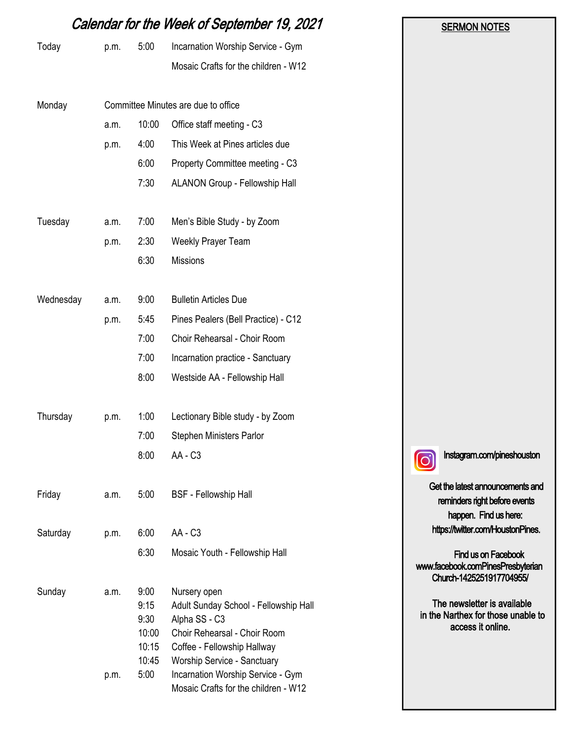|           | Calendar for the Week of September 19, 2021 | <b>SERMON NOTES</b>                                     |                                                                                                                                                                                                                                                   |                                                                                            |
|-----------|---------------------------------------------|---------------------------------------------------------|---------------------------------------------------------------------------------------------------------------------------------------------------------------------------------------------------------------------------------------------------|--------------------------------------------------------------------------------------------|
| Today     | p.m.                                        | 5:00                                                    | Incarnation Worship Service - Gym                                                                                                                                                                                                                 |                                                                                            |
|           |                                             |                                                         | Mosaic Crafts for the children - W12                                                                                                                                                                                                              |                                                                                            |
| Monday    |                                             |                                                         | Committee Minutes are due to office                                                                                                                                                                                                               |                                                                                            |
|           | a.m.                                        | 10:00                                                   | Office staff meeting - C3                                                                                                                                                                                                                         |                                                                                            |
|           | p.m.                                        | 4:00                                                    | This Week at Pines articles due                                                                                                                                                                                                                   |                                                                                            |
|           |                                             | 6:00                                                    | Property Committee meeting - C3                                                                                                                                                                                                                   |                                                                                            |
|           |                                             | 7:30                                                    | ALANON Group - Fellowship Hall                                                                                                                                                                                                                    |                                                                                            |
| Tuesday   | a.m.                                        | 7:00                                                    | Men's Bible Study - by Zoom                                                                                                                                                                                                                       |                                                                                            |
|           | p.m.                                        | 2:30                                                    | Weekly Prayer Team                                                                                                                                                                                                                                |                                                                                            |
|           |                                             | 6:30                                                    | Missions                                                                                                                                                                                                                                          |                                                                                            |
| Wednesday | a.m.                                        | 9:00                                                    | <b>Bulletin Articles Due</b>                                                                                                                                                                                                                      |                                                                                            |
|           | p.m.                                        | 5:45                                                    | Pines Pealers (Bell Practice) - C12                                                                                                                                                                                                               |                                                                                            |
|           |                                             | 7:00                                                    | Choir Rehearsal - Choir Room                                                                                                                                                                                                                      |                                                                                            |
|           |                                             | 7:00                                                    | Incarnation practice - Sanctuary                                                                                                                                                                                                                  |                                                                                            |
|           |                                             | 8:00                                                    | Westside AA - Fellowship Hall                                                                                                                                                                                                                     |                                                                                            |
| Thursday  | p.m.                                        | 1:00                                                    | Lectionary Bible study - by Zoom                                                                                                                                                                                                                  |                                                                                            |
|           |                                             | 7:00                                                    | <b>Stephen Ministers Parlor</b>                                                                                                                                                                                                                   |                                                                                            |
|           |                                             | 8:00                                                    | AA - C3                                                                                                                                                                                                                                           | Instagram.com/pineshouston                                                                 |
| Friday    | a.m.                                        | 5:00                                                    | <b>BSF</b> - Fellowship Hall                                                                                                                                                                                                                      | Get the latest announcements and<br>reminders right before events<br>happen. Find us here: |
| Saturday  | p.m.                                        | 6:00                                                    | AA - C3                                                                                                                                                                                                                                           | https://twitter.com/HoustonPines.                                                          |
|           |                                             | 6:30                                                    | Mosaic Youth - Fellowship Hall                                                                                                                                                                                                                    | Find us on Facebook<br>www.facebook.comPinesPresbyterian<br>Church-1425251917704955/       |
| Sunday    | a.m.<br>p.m.                                | 9:00<br>9:15<br>9:30<br>10:00<br>10:15<br>10:45<br>5:00 | Nursery open<br>Adult Sunday School - Fellowship Hall<br>Alpha SS - C3<br>Choir Rehearsal - Choir Room<br>Coffee - Fellowship Hallway<br>Worship Service - Sanctuary<br>Incarnation Worship Service - Gym<br>Mosaic Crafts for the children - W12 | The newsletter is available<br>in the Narthex for those unable to<br>access it online.     |